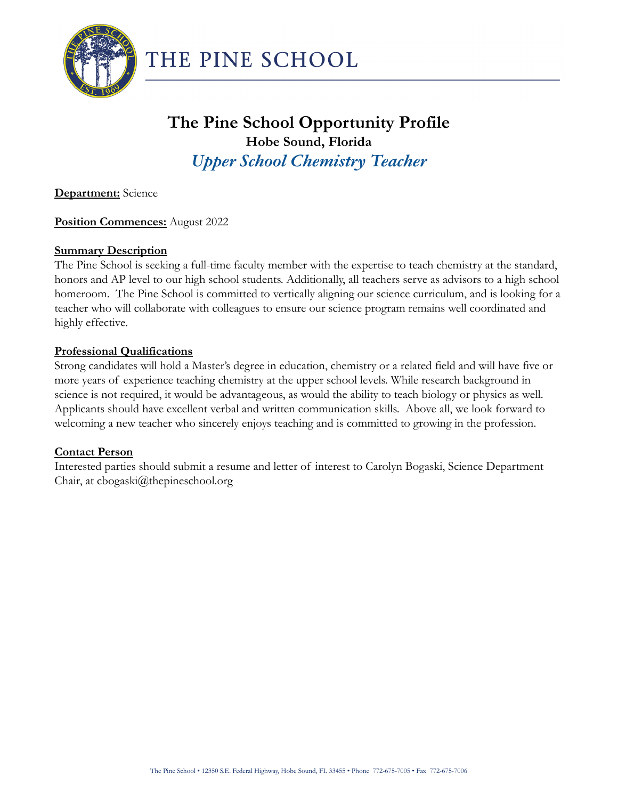

# **The Pine School Opportunity Profile Hobe Sound, Florida** *Upper School Chemistry Teacher*

**Department:** Science

## **Position Commences:** August 2022

#### **Summary Description**

The Pine School is seeking a full-time faculty member with the expertise to teach chemistry at the standard, honors and AP level to our high school students. Additionally, all teachers serve as advisors to a high school homeroom. The Pine School is committed to vertically aligning our science curriculum, and is looking for a teacher who will collaborate with colleagues to ensure our science program remains well coordinated and highly effective.

#### **Professional Qualifications**

Strong candidates will hold a Master's degree in education, chemistry or a related field and will have five or more years of experience teaching chemistry at the upper school levels. While research background in science is not required, it would be advantageous, as would the ability to teach biology or physics as well. Applicants should have excellent verbal and written communication skills. Above all, we look forward to welcoming a new teacher who sincerely enjoys teaching and is committed to growing in the profession.

#### **Contact Person**

Interested parties should submit a resume and letter of interest to Carolyn Bogaski, Science Department Chair, at cbogaski@thepineschool.org